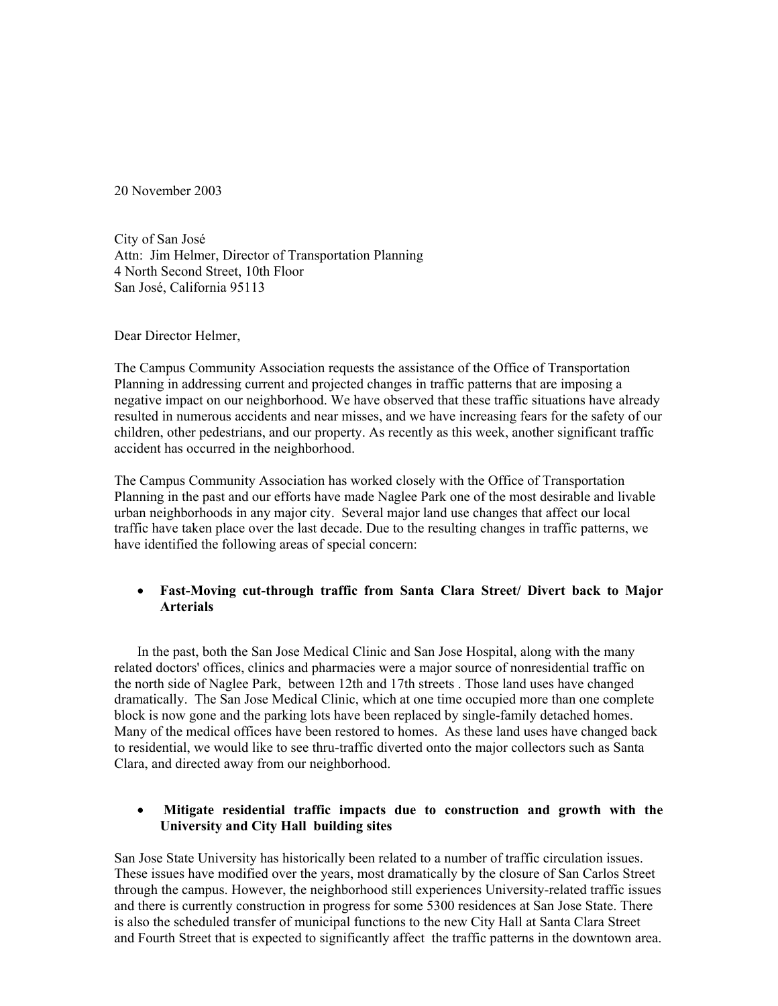20 November 2003

City of San José Attn: Jim Helmer, Director of Transportation Planning 4 North Second Street, 10th Floor San José, California 95113

Dear Director Helmer,

The Campus Community Association requests the assistance of the Office of Transportation Planning in addressing current and projected changes in traffic patterns that are imposing a negative impact on our neighborhood. We have observed that these traffic situations have already resulted in numerous accidents and near misses, and we have increasing fears for the safety of our children, other pedestrians, and our property. As recently as this week, another significant traffic accident has occurred in the neighborhood.

The Campus Community Association has worked closely with the Office of Transportation Planning in the past and our efforts have made Naglee Park one of the most desirable and livable urban neighborhoods in any major city. Several major land use changes that affect our local traffic have taken place over the last decade. Due to the resulting changes in traffic patterns, we have identified the following areas of special concern:

## • **Fast-Moving cut-through traffic from Santa Clara Street/ Divert back to Major Arterials**

In the past, both the San Jose Medical Clinic and San Jose Hospital, along with the many related doctors' offices, clinics and pharmacies were a major source of nonresidential traffic on the north side of Naglee Park, between 12th and 17th streets . Those land uses have changed dramatically. The San Jose Medical Clinic, which at one time occupied more than one complete block is now gone and the parking lots have been replaced by single-family detached homes. Many of the medical offices have been restored to homes. As these land uses have changed back to residential, we would like to see thru-traffic diverted onto the major collectors such as Santa Clara, and directed away from our neighborhood.

## • **Mitigate residential traffic impacts due to construction and growth with the University and City Hall building sites**

San Jose State University has historically been related to a number of traffic circulation issues. These issues have modified over the years, most dramatically by the closure of San Carlos Street through the campus. However, the neighborhood still experiences University-related traffic issues and there is currently construction in progress for some 5300 residences at San Jose State. There is also the scheduled transfer of municipal functions to the new City Hall at Santa Clara Street and Fourth Street that is expected to significantly affect the traffic patterns in the downtown area.